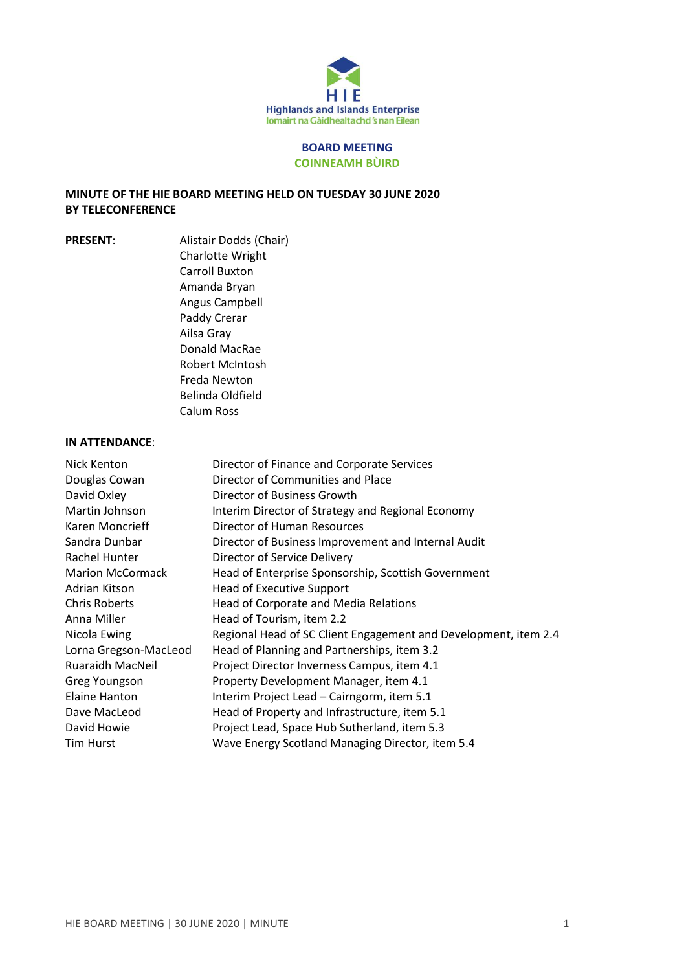

#### **BOARD MEETING COINNEAMH BÙIRD**

### **MINUTE OF THE HIE BOARD MEETING HELD ON TUESDAY 30 JUNE 2020 BY TELECONFERENCE**

**PRESENT**: Alistair Dodds (Chair) Charlotte Wright Carroll Buxton Amanda Bryan Angus Campbell Paddy Crerar Ailsa Gray Donald MacRae Robert McIntosh Freda Newton Belinda Oldfield Calum Ross

#### **IN ATTENDANCE**:

| Nick Kenton             | Director of Finance and Corporate Services                      |
|-------------------------|-----------------------------------------------------------------|
| Douglas Cowan           | Director of Communities and Place                               |
| David Oxley             | Director of Business Growth                                     |
| Martin Johnson          | Interim Director of Strategy and Regional Economy               |
| Karen Moncrieff         | Director of Human Resources                                     |
| Sandra Dunbar           | Director of Business Improvement and Internal Audit             |
| Rachel Hunter           | Director of Service Delivery                                    |
| <b>Marion McCormack</b> | Head of Enterprise Sponsorship, Scottish Government             |
| Adrian Kitson           | <b>Head of Executive Support</b>                                |
| <b>Chris Roberts</b>    | Head of Corporate and Media Relations                           |
| Anna Miller             | Head of Tourism, item 2.2                                       |
| Nicola Ewing            | Regional Head of SC Client Engagement and Development, item 2.4 |
| Lorna Gregson-MacLeod   | Head of Planning and Partnerships, item 3.2                     |
| <b>Ruaraidh MacNeil</b> | Project Director Inverness Campus, item 4.1                     |
| Greg Youngson           | Property Development Manager, item 4.1                          |
| Elaine Hanton           | Interim Project Lead - Cairngorm, item 5.1                      |
| Dave MacLeod            | Head of Property and Infrastructure, item 5.1                   |
| David Howie             | Project Lead, Space Hub Sutherland, item 5.3                    |
| Tim Hurst               | Wave Energy Scotland Managing Director, item 5.4                |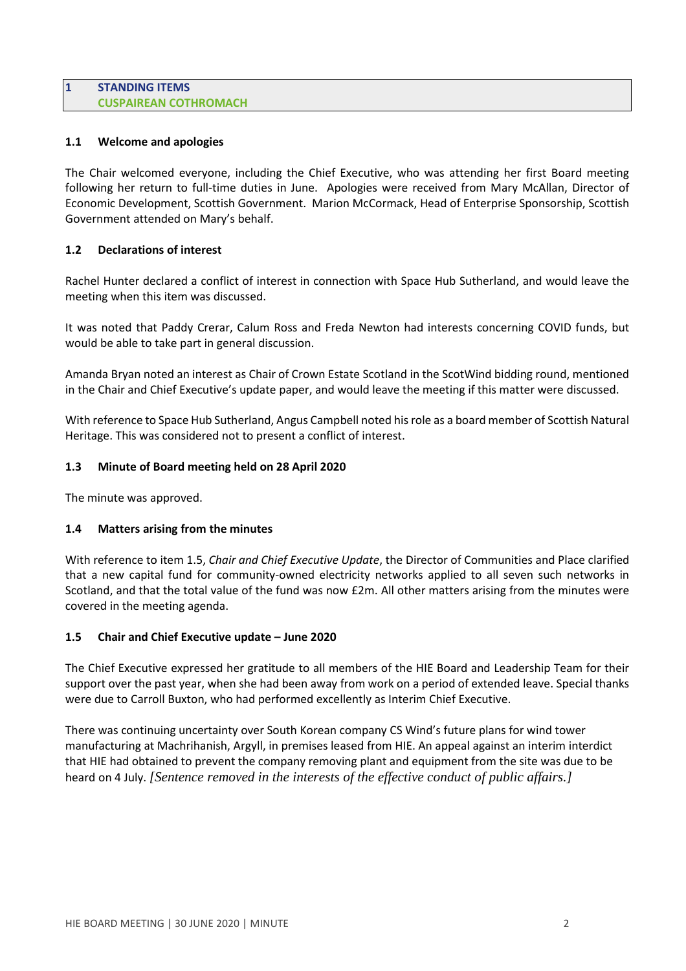#### **1 STANDING ITEMS CUSPAIREAN COTHROMACH**

### **1.1 Welcome and apologies**

The Chair welcomed everyone, including the Chief Executive, who was attending her first Board meeting following her return to full-time duties in June. Apologies were received from Mary McAllan, Director of Economic Development, Scottish Government. Marion McCormack, Head of Enterprise Sponsorship, Scottish Government attended on Mary's behalf.

### **1.2 Declarations of interest**

Rachel Hunter declared a conflict of interest in connection with Space Hub Sutherland, and would leave the meeting when this item was discussed.

It was noted that Paddy Crerar, Calum Ross and Freda Newton had interests concerning COVID funds, but would be able to take part in general discussion.

Amanda Bryan noted an interest as Chair of Crown Estate Scotland in the ScotWind bidding round, mentioned in the Chair and Chief Executive's update paper, and would leave the meeting if this matter were discussed.

With reference to Space Hub Sutherland, Angus Campbell noted hisrole as a board member of Scottish Natural Heritage. This was considered not to present a conflict of interest.

### **1.3 Minute of Board meeting held on 28 April 2020**

The minute was approved.

### **1.4 Matters arising from the minutes**

With reference to item 1.5, *Chair and Chief Executive Update*, the Director of Communities and Place clarified that a new capital fund for community-owned electricity networks applied to all seven such networks in Scotland, and that the total value of the fund was now £2m. All other matters arising from the minutes were covered in the meeting agenda.

### **1.5 Chair and Chief Executive update – June 2020**

The Chief Executive expressed her gratitude to all members of the HIE Board and Leadership Team for their support over the past year, when she had been away from work on a period of extended leave. Special thanks were due to Carroll Buxton, who had performed excellently as Interim Chief Executive.

There was continuing uncertainty over South Korean company CS Wind's future plans for wind tower manufacturing at Machrihanish, Argyll, in premises leased from HIE. An appeal against an interim interdict that HIE had obtained to prevent the company removing plant and equipment from the site was due to be heard on 4 July. *[Sentence removed in the interests of the effective conduct of public affairs.]*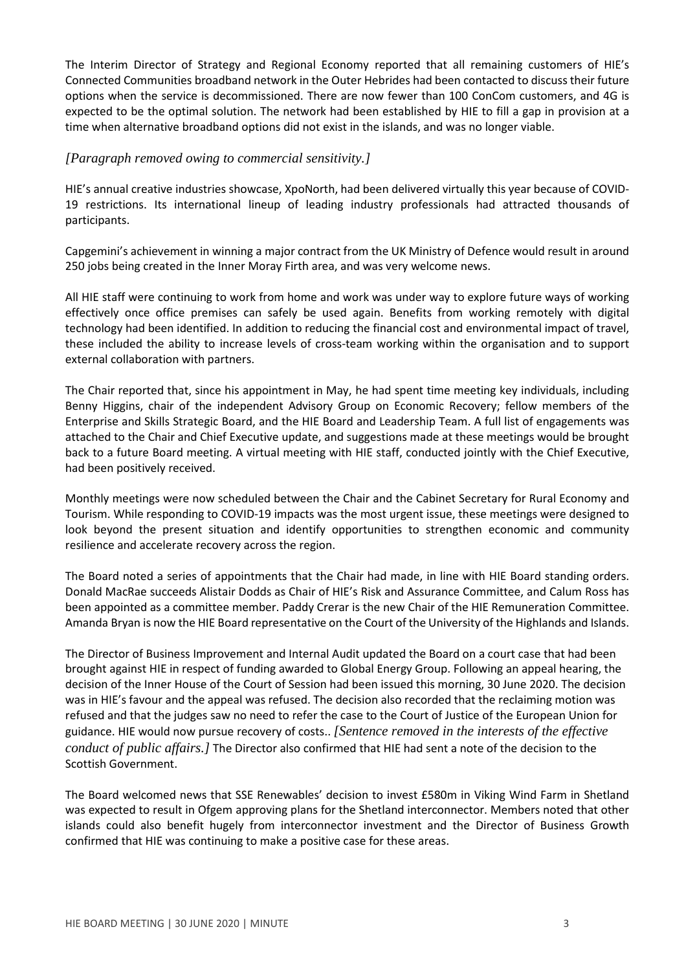The Interim Director of Strategy and Regional Economy reported that all remaining customers of HIE's Connected Communities broadband network in the Outer Hebrides had been contacted to discuss their future options when the service is decommissioned. There are now fewer than 100 ConCom customers, and 4G is expected to be the optimal solution. The network had been established by HIE to fill a gap in provision at a time when alternative broadband options did not exist in the islands, and was no longer viable.

### *[Paragraph removed owing to commercial sensitivity.]*

HIE's annual creative industries showcase, XpoNorth, had been delivered virtually this year because of COVID-19 restrictions. Its international lineup of leading industry professionals had attracted thousands of participants.

Capgemini's achievement in winning a major contract from the UK Ministry of Defence would result in around 250 jobs being created in the Inner Moray Firth area, and was very welcome news.

All HIE staff were continuing to work from home and work was under way to explore future ways of working effectively once office premises can safely be used again. Benefits from working remotely with digital technology had been identified. In addition to reducing the financial cost and environmental impact of travel, these included the ability to increase levels of cross-team working within the organisation and to support external collaboration with partners.

The Chair reported that, since his appointment in May, he had spent time meeting key individuals, including Benny Higgins, chair of the independent Advisory Group on Economic Recovery; fellow members of the Enterprise and Skills Strategic Board, and the HIE Board and Leadership Team. A full list of engagements was attached to the Chair and Chief Executive update, and suggestions made at these meetings would be brought back to a future Board meeting. A virtual meeting with HIE staff, conducted jointly with the Chief Executive, had been positively received.

Monthly meetings were now scheduled between the Chair and the Cabinet Secretary for Rural Economy and Tourism. While responding to COVID-19 impacts was the most urgent issue, these meetings were designed to look beyond the present situation and identify opportunities to strengthen economic and community resilience and accelerate recovery across the region.

The Board noted a series of appointments that the Chair had made, in line with HIE Board standing orders. Donald MacRae succeeds Alistair Dodds as Chair of HIE's Risk and Assurance Committee, and Calum Ross has been appointed as a committee member. Paddy Crerar is the new Chair of the HIE Remuneration Committee. Amanda Bryan is now the HIE Board representative on the Court of the University of the Highlands and Islands.

The Director of Business Improvement and Internal Audit updated the Board on a court case that had been brought against HIE in respect of funding awarded to Global Energy Group. Following an appeal hearing, the decision of the Inner House of the Court of Session had been issued this morning, 30 June 2020. The decision was in HIE's favour and the appeal was refused. The decision also recorded that the reclaiming motion was refused and that the judges saw no need to refer the case to the Court of Justice of the European Union for guidance. HIE would now pursue recovery of costs.. *[Sentence removed in the interests of the effective conduct of public affairs.]* The Director also confirmed that HIE had sent a note of the decision to the Scottish Government.

The Board welcomed news that SSE Renewables' decision to invest £580m in Viking Wind Farm in Shetland was expected to result in Ofgem approving plans for the Shetland interconnector. Members noted that other islands could also benefit hugely from interconnector investment and the Director of Business Growth confirmed that HIE was continuing to make a positive case for these areas.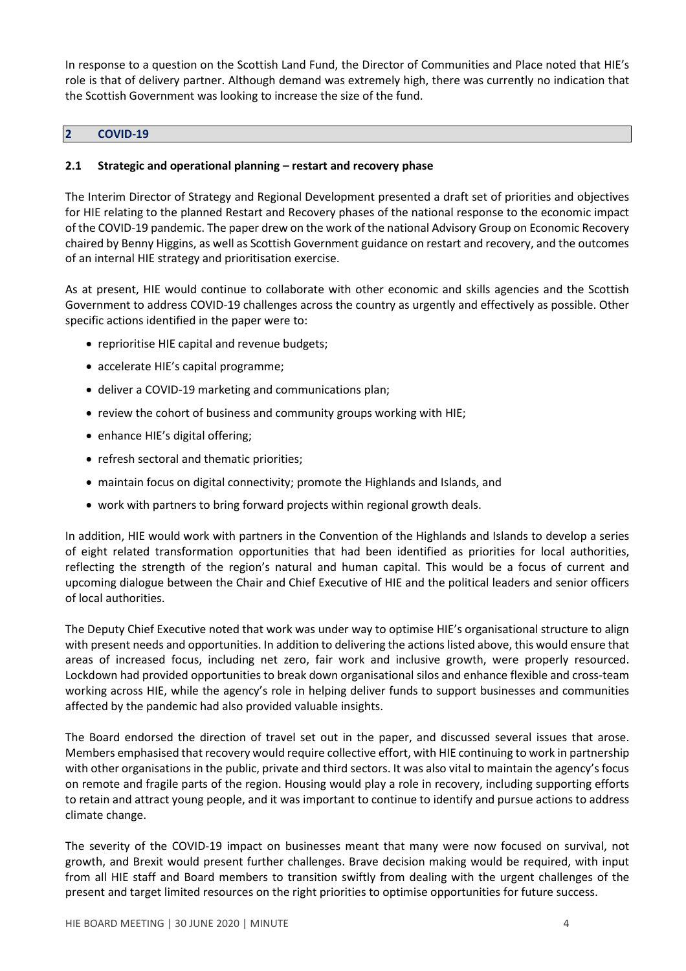In response to a question on the Scottish Land Fund, the Director of Communities and Place noted that HIE's role is that of delivery partner. Although demand was extremely high, there was currently no indication that the Scottish Government was looking to increase the size of the fund.

#### **2 COVID-19**

### **2.1 Strategic and operational planning – restart and recovery phase**

The Interim Director of Strategy and Regional Development presented a draft set of priorities and objectives for HIE relating to the planned Restart and Recovery phases of the national response to the economic impact of the COVID-19 pandemic. The paper drew on the work of the national Advisory Group on Economic Recovery chaired by Benny Higgins, as well as Scottish Government guidance on restart and recovery, and the outcomes of an internal HIE strategy and prioritisation exercise.

As at present, HIE would continue to collaborate with other economic and skills agencies and the Scottish Government to address COVID-19 challenges across the country as urgently and effectively as possible. Other specific actions identified in the paper were to:

- reprioritise HIE capital and revenue budgets;
- accelerate HIE's capital programme;
- deliver a COVID-19 marketing and communications plan;
- review the cohort of business and community groups working with HIE;
- enhance HIE's digital offering;
- refresh sectoral and thematic priorities;
- maintain focus on digital connectivity; promote the Highlands and Islands, and
- work with partners to bring forward projects within regional growth deals.

In addition, HIE would work with partners in the Convention of the Highlands and Islands to develop a series of eight related transformation opportunities that had been identified as priorities for local authorities, reflecting the strength of the region's natural and human capital. This would be a focus of current and upcoming dialogue between the Chair and Chief Executive of HIE and the political leaders and senior officers of local authorities.

The Deputy Chief Executive noted that work was under way to optimise HIE's organisational structure to align with present needs and opportunities. In addition to delivering the actions listed above, this would ensure that areas of increased focus, including net zero, fair work and inclusive growth, were properly resourced. Lockdown had provided opportunities to break down organisational silos and enhance flexible and cross-team working across HIE, while the agency's role in helping deliver funds to support businesses and communities affected by the pandemic had also provided valuable insights.

The Board endorsed the direction of travel set out in the paper, and discussed several issues that arose. Members emphasised that recovery would require collective effort, with HIE continuing to work in partnership with other organisations in the public, private and third sectors. It was also vital to maintain the agency's focus on remote and fragile parts of the region. Housing would play a role in recovery, including supporting efforts to retain and attract young people, and it was important to continue to identify and pursue actions to address climate change.

The severity of the COVID-19 impact on businesses meant that many were now focused on survival, not growth, and Brexit would present further challenges. Brave decision making would be required, with input from all HIE staff and Board members to transition swiftly from dealing with the urgent challenges of the present and target limited resources on the right priorities to optimise opportunities for future success.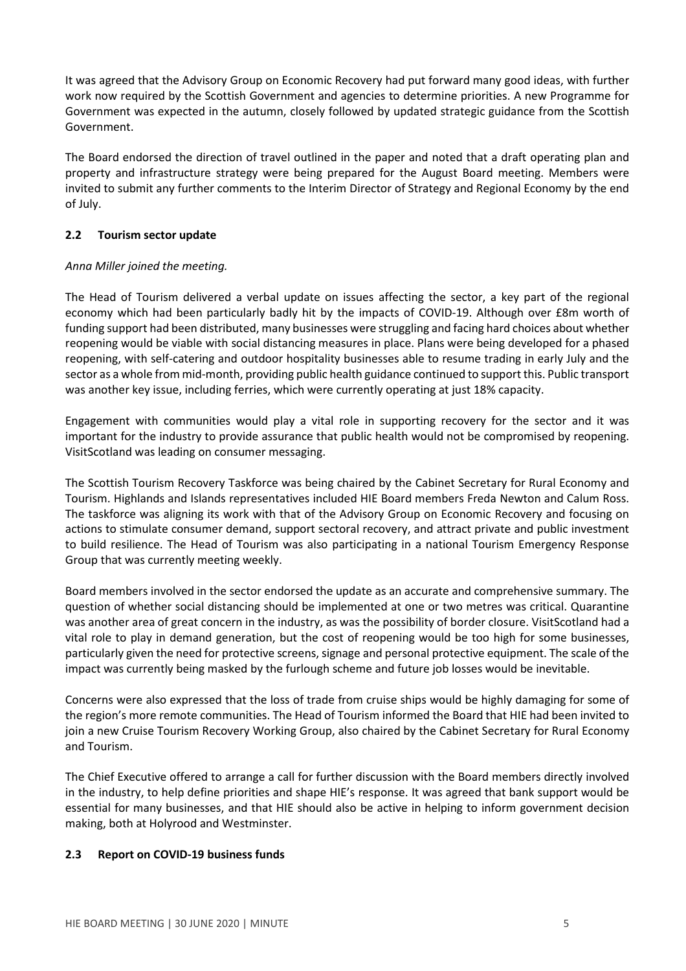It was agreed that the Advisory Group on Economic Recovery had put forward many good ideas, with further work now required by the Scottish Government and agencies to determine priorities. A new Programme for Government was expected in the autumn, closely followed by updated strategic guidance from the Scottish Government.

The Board endorsed the direction of travel outlined in the paper and noted that a draft operating plan and property and infrastructure strategy were being prepared for the August Board meeting. Members were invited to submit any further comments to the Interim Director of Strategy and Regional Economy by the end of July.

### **2.2 Tourism sector update**

### *Anna Miller joined the meeting.*

The Head of Tourism delivered a verbal update on issues affecting the sector, a key part of the regional economy which had been particularly badly hit by the impacts of COVID-19. Although over £8m worth of funding support had been distributed, many businesses were struggling and facing hard choices about whether reopening would be viable with social distancing measures in place. Plans were being developed for a phased reopening, with self-catering and outdoor hospitality businesses able to resume trading in early July and the sector as a whole from mid-month, providing public health guidance continued to support this. Public transport was another key issue, including ferries, which were currently operating at just 18% capacity.

Engagement with communities would play a vital role in supporting recovery for the sector and it was important for the industry to provide assurance that public health would not be compromised by reopening. VisitScotland was leading on consumer messaging.

The Scottish Tourism Recovery Taskforce was being chaired by the Cabinet Secretary for Rural Economy and Tourism. Highlands and Islands representatives included HIE Board members Freda Newton and Calum Ross. The taskforce was aligning its work with that of the Advisory Group on Economic Recovery and focusing on actions to stimulate consumer demand, support sectoral recovery, and attract private and public investment to build resilience. The Head of Tourism was also participating in a national Tourism Emergency Response Group that was currently meeting weekly.

Board members involved in the sector endorsed the update as an accurate and comprehensive summary. The question of whether social distancing should be implemented at one or two metres was critical. Quarantine was another area of great concern in the industry, as was the possibility of border closure. VisitScotland had a vital role to play in demand generation, but the cost of reopening would be too high for some businesses, particularly given the need for protective screens, signage and personal protective equipment. The scale of the impact was currently being masked by the furlough scheme and future job losses would be inevitable.

Concerns were also expressed that the loss of trade from cruise ships would be highly damaging for some of the region's more remote communities. The Head of Tourism informed the Board that HIE had been invited to join a new Cruise Tourism Recovery Working Group, also chaired by the Cabinet Secretary for Rural Economy and Tourism.

The Chief Executive offered to arrange a call for further discussion with the Board members directly involved in the industry, to help define priorities and shape HIE's response. It was agreed that bank support would be essential for many businesses, and that HIE should also be active in helping to inform government decision making, both at Holyrood and Westminster.

### **2.3 Report on COVID-19 business funds**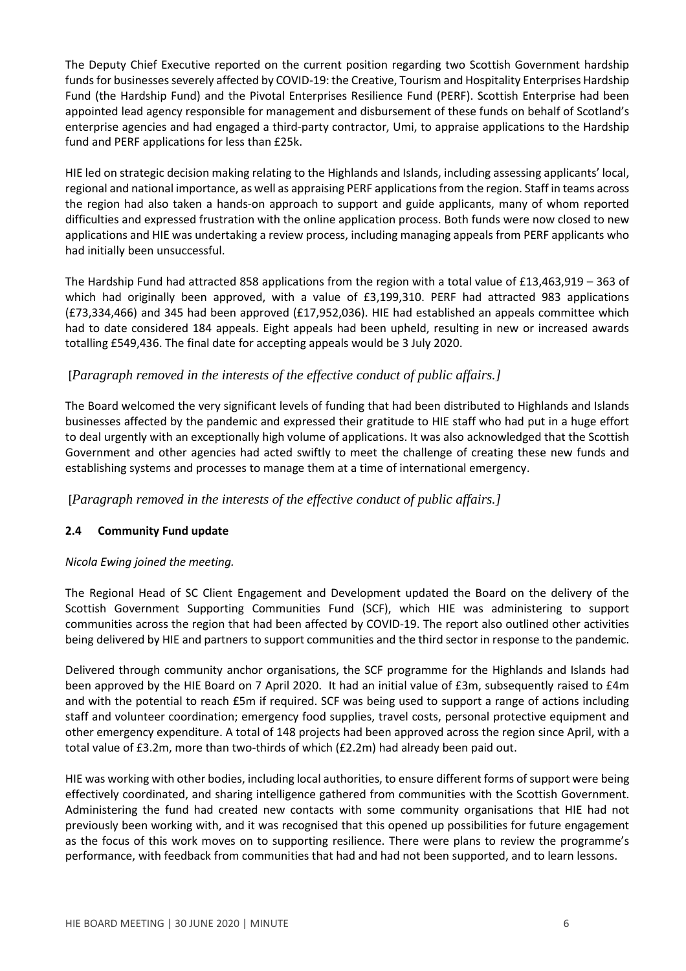The Deputy Chief Executive reported on the current position regarding two Scottish Government hardship funds for businesses severely affected by COVID-19: the Creative, Tourism and Hospitality Enterprises Hardship Fund (the Hardship Fund) and the Pivotal Enterprises Resilience Fund (PERF). Scottish Enterprise had been appointed lead agency responsible for management and disbursement of these funds on behalf of Scotland's enterprise agencies and had engaged a third-party contractor, Umi, to appraise applications to the Hardship fund and PERF applications for less than £25k.

HIE led on strategic decision making relating to the Highlands and Islands, including assessing applicants' local, regional and national importance, as well as appraising PERF applicationsfrom the region. Staff in teams across the region had also taken a hands-on approach to support and guide applicants, many of whom reported difficulties and expressed frustration with the online application process. Both funds were now closed to new applications and HIE was undertaking a review process, including managing appeals from PERF applicants who had initially been unsuccessful.

The Hardship Fund had attracted 858 applications from the region with a total value of £13,463,919 – 363 of which had originally been approved, with a value of £3,199,310. PERF had attracted 983 applications (£73,334,466) and 345 had been approved (£17,952,036). HIE had established an appeals committee which had to date considered 184 appeals. Eight appeals had been upheld, resulting in new or increased awards totalling £549,436. The final date for accepting appeals would be 3 July 2020.

## [*Paragraph removed in the interests of the effective conduct of public affairs.]*

The Board welcomed the very significant levels of funding that had been distributed to Highlands and Islands businesses affected by the pandemic and expressed their gratitude to HIE staff who had put in a huge effort to deal urgently with an exceptionally high volume of applications. It was also acknowledged that the Scottish Government and other agencies had acted swiftly to meet the challenge of creating these new funds and establishing systems and processes to manage them at a time of international emergency.

[*Paragraph removed in the interests of the effective conduct of public affairs.]*

### **2.4 Community Fund update**

### *Nicola Ewing joined the meeting.*

The Regional Head of SC Client Engagement and Development updated the Board on the delivery of the Scottish Government Supporting Communities Fund (SCF), which HIE was administering to support communities across the region that had been affected by COVID-19. The report also outlined other activities being delivered by HIE and partners to support communities and the third sector in response to the pandemic.

Delivered through community anchor organisations, the SCF programme for the Highlands and Islands had been approved by the HIE Board on 7 April 2020. It had an initial value of £3m, subsequently raised to £4m and with the potential to reach £5m if required. SCF was being used to support a range of actions including staff and volunteer coordination; emergency food supplies, travel costs, personal protective equipment and other emergency expenditure. A total of 148 projects had been approved across the region since April, with a total value of £3.2m, more than two-thirds of which (£2.2m) had already been paid out.

HIE was working with other bodies, including local authorities, to ensure different forms of support were being effectively coordinated, and sharing intelligence gathered from communities with the Scottish Government. Administering the fund had created new contacts with some community organisations that HIE had not previously been working with, and it was recognised that this opened up possibilities for future engagement as the focus of this work moves on to supporting resilience. There were plans to review the programme's performance, with feedback from communities that had and had not been supported, and to learn lessons.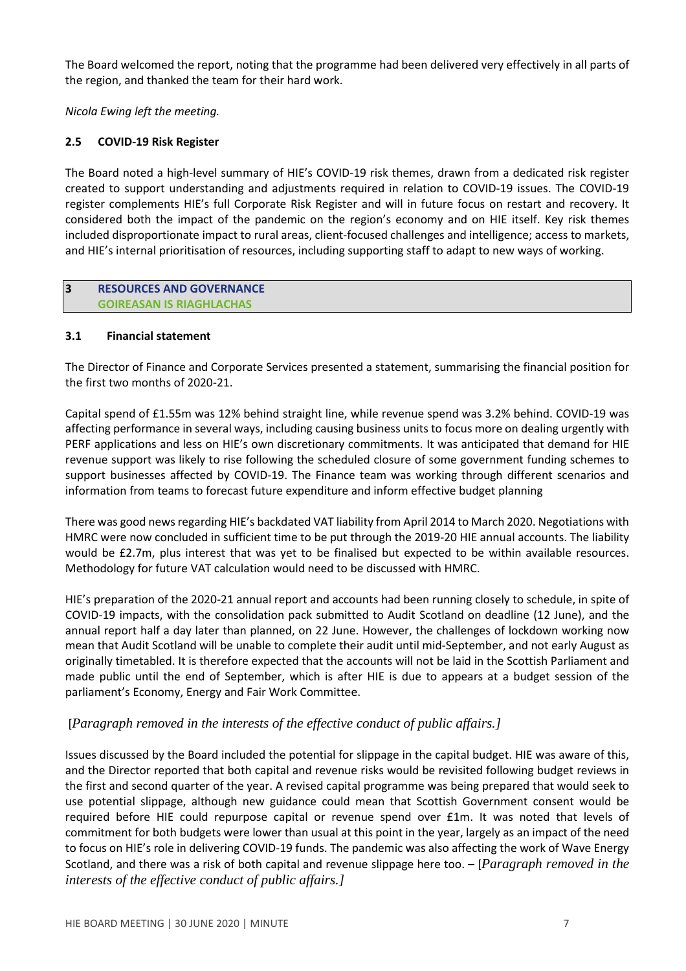The Board welcomed the report, noting that the programme had been delivered very effectively in all parts of the region, and thanked the team for their hard work.

*Nicola Ewing left the meeting.*

## **2.5 COVID-19 Risk Register**

The Board noted a high-level summary of HIE's COVID-19 risk themes, drawn from a dedicated risk register created to support understanding and adjustments required in relation to COVID-19 issues. The COVID-19 register complements HIE's full Corporate Risk Register and will in future focus on restart and recovery. It considered both the impact of the pandemic on the region's economy and on HIE itself. Key risk themes included disproportionate impact to rural areas, client-focused challenges and intelligence; access to markets, and HIE's internal prioritisation of resources, including supporting staff to adapt to new ways of working.

### **3 RESOURCES AND GOVERNANCE GOIREASAN IS RIAGHLACHAS**

### **3.1 Financial statement**

The Director of Finance and Corporate Services presented a statement, summarising the financial position for the first two months of 2020-21.

Capital spend of £1.55m was 12% behind straight line, while revenue spend was 3.2% behind. COVID-19 was affecting performance in several ways, including causing business units to focus more on dealing urgently with PERF applications and less on HIE's own discretionary commitments. It was anticipated that demand for HIE revenue support was likely to rise following the scheduled closure of some government funding schemes to support businesses affected by COVID-19. The Finance team was working through different scenarios and information from teams to forecast future expenditure and inform effective budget planning

There was good newsregarding HIE's backdated VAT liability from April 2014 to March 2020. Negotiations with HMRC were now concluded in sufficient time to be put through the 2019-20 HIE annual accounts. The liability would be £2.7m, plus interest that was yet to be finalised but expected to be within available resources. Methodology for future VAT calculation would need to be discussed with HMRC.

HIE's preparation of the 2020-21 annual report and accounts had been running closely to schedule, in spite of COVID-19 impacts, with the consolidation pack submitted to Audit Scotland on deadline (12 June), and the annual report half a day later than planned, on 22 June. However, the challenges of lockdown working now mean that Audit Scotland will be unable to complete their audit until mid-September, and not early August as originally timetabled. It is therefore expected that the accounts will not be laid in the Scottish Parliament and made public until the end of September, which is after HIE is due to appears at a budget session of the parliament's Economy, Energy and Fair Work Committee.

# [*Paragraph removed in the interests of the effective conduct of public affairs.]*

Issues discussed by the Board included the potential for slippage in the capital budget. HIE was aware of this, and the Director reported that both capital and revenue risks would be revisited following budget reviews in the first and second quarter of the year. A revised capital programme was being prepared that would seek to use potential slippage, although new guidance could mean that Scottish Government consent would be required before HIE could repurpose capital or revenue spend over £1m. It was noted that levels of commitment for both budgets were lower than usual at this point in the year, largely as an impact of the need to focus on HIE's role in delivering COVID-19 funds. The pandemic was also affecting the work of Wave Energy Scotland, and there was a risk of both capital and revenue slippage here too. – [*Paragraph removed in the interests of the effective conduct of public affairs.]*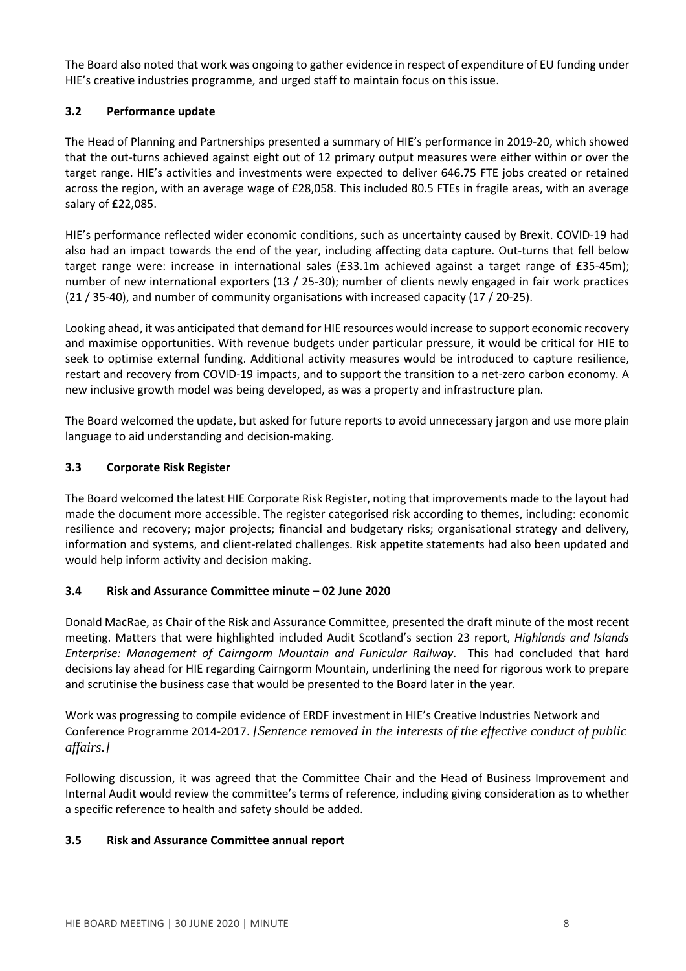The Board also noted that work was ongoing to gather evidence in respect of expenditure of EU funding under HIE's creative industries programme, and urged staff to maintain focus on this issue.

## **3.2 Performance update**

The Head of Planning and Partnerships presented a summary of HIE's performance in 2019-20, which showed that the out-turns achieved against eight out of 12 primary output measures were either within or over the target range. HIE's activities and investments were expected to deliver 646.75 FTE jobs created or retained across the region, with an average wage of £28,058. This included 80.5 FTEs in fragile areas, with an average salary of £22,085.

HIE's performance reflected wider economic conditions, such as uncertainty caused by Brexit. COVID-19 had also had an impact towards the end of the year, including affecting data capture. Out-turns that fell below target range were: increase in international sales (£33.1m achieved against a target range of £35-45m); number of new international exporters (13 / 25-30); number of clients newly engaged in fair work practices (21 / 35-40), and number of community organisations with increased capacity (17 / 20-25).

Looking ahead, it was anticipated that demand for HIE resources would increase to support economic recovery and maximise opportunities. With revenue budgets under particular pressure, it would be critical for HIE to seek to optimise external funding. Additional activity measures would be introduced to capture resilience, restart and recovery from COVID-19 impacts, and to support the transition to a net-zero carbon economy. A new inclusive growth model was being developed, as was a property and infrastructure plan.

The Board welcomed the update, but asked for future reports to avoid unnecessary jargon and use more plain language to aid understanding and decision-making.

### **3.3 Corporate Risk Register**

The Board welcomed the latest HIE Corporate Risk Register, noting that improvements made to the layout had made the document more accessible. The register categorised risk according to themes, including: economic resilience and recovery; major projects; financial and budgetary risks; organisational strategy and delivery, information and systems, and client-related challenges. Risk appetite statements had also been updated and would help inform activity and decision making.

### **3.4 Risk and Assurance Committee minute – 02 June 2020**

Donald MacRae, as Chair of the Risk and Assurance Committee, presented the draft minute of the most recent meeting. Matters that were highlighted included Audit Scotland's section 23 report, *Highlands and Islands Enterprise: Management of Cairngorm Mountain and Funicular Railway*. This had concluded that hard decisions lay ahead for HIE regarding Cairngorm Mountain, underlining the need for rigorous work to prepare and scrutinise the business case that would be presented to the Board later in the year.

Work was progressing to compile evidence of ERDF investment in HIE's Creative Industries Network and Conference Programme 2014-2017. *[Sentence removed in the interests of the effective conduct of public affairs.]*

Following discussion, it was agreed that the Committee Chair and the Head of Business Improvement and Internal Audit would review the committee's terms of reference, including giving consideration as to whether a specific reference to health and safety should be added.

### **3.5 Risk and Assurance Committee annual report**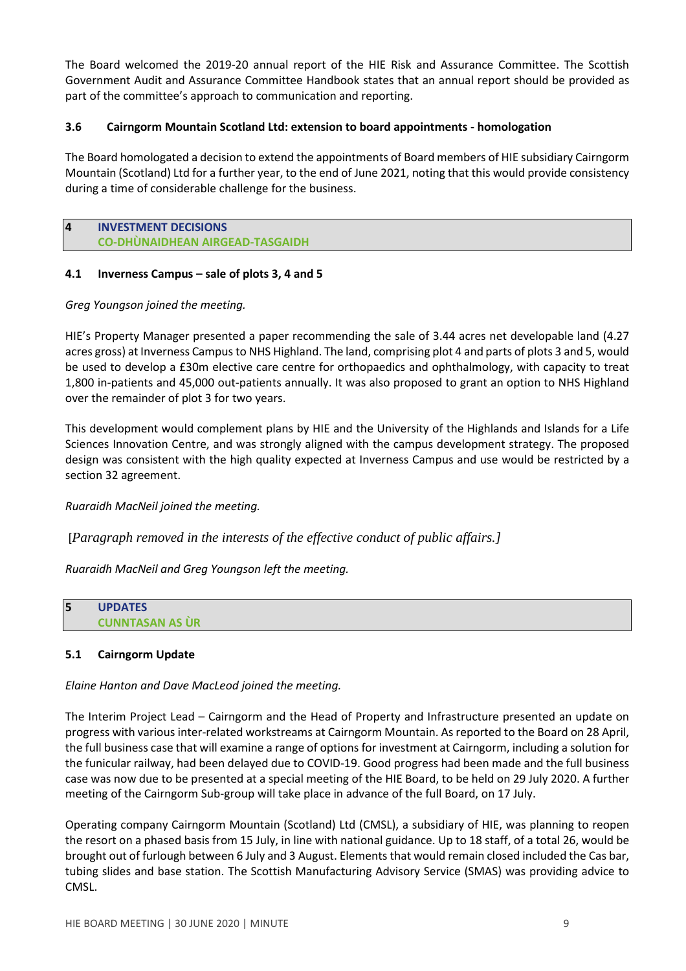The Board welcomed the 2019-20 annual report of the HIE Risk and Assurance Committee. The Scottish Government Audit and Assurance Committee Handbook states that an annual report should be provided as part of the committee's approach to communication and reporting.

### **3.6 Cairngorm Mountain Scotland Ltd: extension to board appointments - homologation**

The Board homologated a decision to extend the appointments of Board members of HIE subsidiary Cairngorm Mountain (Scotland) Ltd for a further year, to the end of June 2021, noting that this would provide consistency during a time of considerable challenge for the business.

#### **4 INVESTMENT DECISIONS CO-DHÙNAIDHEAN AIRGEAD-TASGAIDH**

### **4.1 Inverness Campus – sale of plots 3, 4 and 5**

### *Greg Youngson joined the meeting.*

HIE's Property Manager presented a paper recommending the sale of 3.44 acres net developable land (4.27 acres gross) at Inverness Campus to NHS Highland. The land, comprising plot 4 and parts of plots 3 and 5, would be used to develop a £30m elective care centre for orthopaedics and ophthalmology, with capacity to treat 1,800 in-patients and 45,000 out-patients annually. It was also proposed to grant an option to NHS Highland over the remainder of plot 3 for two years.

This development would complement plans by HIE and the University of the Highlands and Islands for a Life Sciences Innovation Centre, and was strongly aligned with the campus development strategy. The proposed design was consistent with the high quality expected at Inverness Campus and use would be restricted by a section 32 agreement.

*Ruaraidh MacNeil joined the meeting.*

[*Paragraph removed in the interests of the effective conduct of public affairs.]*

*Ruaraidh MacNeil and Greg Youngson left the meeting.*

**5 UPDATES CUNNTASAN AS ÙR**

### **5.1 Cairngorm Update**

*Elaine Hanton and Dave MacLeod joined the meeting.*

The Interim Project Lead – Cairngorm and the Head of Property and Infrastructure presented an update on progress with various inter-related workstreams at Cairngorm Mountain. As reported to the Board on 28 April, the full business case that will examine a range of options for investment at Cairngorm, including a solution for the funicular railway, had been delayed due to COVID-19. Good progress had been made and the full business case was now due to be presented at a special meeting of the HIE Board, to be held on 29 July 2020. A further meeting of the Cairngorm Sub-group will take place in advance of the full Board, on 17 July.

Operating company Cairngorm Mountain (Scotland) Ltd (CMSL), a subsidiary of HIE, was planning to reopen the resort on a phased basis from 15 July, in line with national guidance. Up to 18 staff, of a total 26, would be brought out of furlough between 6 July and 3 August. Elements that would remain closed included the Cas bar, tubing slides and base station. The Scottish Manufacturing Advisory Service (SMAS) was providing advice to CMSL.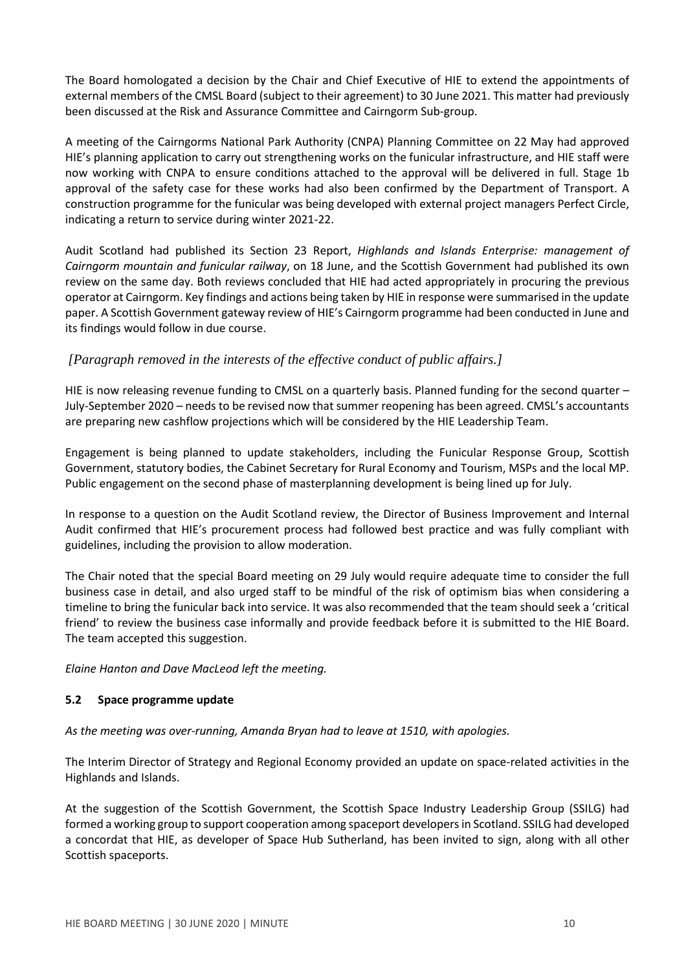The Board homologated a decision by the Chair and Chief Executive of HIE to extend the appointments of external members of the CMSL Board (subject to their agreement) to 30 June 2021. This matter had previously been discussed at the Risk and Assurance Committee and Cairngorm Sub-group.

A meeting of the Cairngorms National Park Authority (CNPA) Planning Committee on 22 May had approved HIE's planning application to carry out strengthening works on the funicular infrastructure, and HIE staff were now working with CNPA to ensure conditions attached to the approval will be delivered in full. Stage 1b approval of the safety case for these works had also been confirmed by the Department of Transport. A construction programme for the funicular was being developed with external project managers Perfect Circle, indicating a return to service during winter 2021-22.

Audit Scotland had published its Section 23 Report, *Highlands and Islands Enterprise: management of Cairngorm mountain and funicular railway*, on 18 June, and the Scottish Government had published its own review on the same day. Both reviews concluded that HIE had acted appropriately in procuring the previous operator at Cairngorm. Key findings and actions being taken by HIE in response were summarised in the update paper. A Scottish Government gateway review of HIE's Cairngorm programme had been conducted in June and its findings would follow in due course.

## *[Paragraph removed in the interests of the effective conduct of public affairs.]*

HIE is now releasing revenue funding to CMSL on a quarterly basis. Planned funding for the second quarter – July-September 2020 – needs to be revised now that summer reopening has been agreed. CMSL's accountants are preparing new cashflow projections which will be considered by the HIE Leadership Team.

Engagement is being planned to update stakeholders, including the Funicular Response Group, Scottish Government, statutory bodies, the Cabinet Secretary for Rural Economy and Tourism, MSPs and the local MP. Public engagement on the second phase of masterplanning development is being lined up for July.

In response to a question on the Audit Scotland review, the Director of Business Improvement and Internal Audit confirmed that HIE's procurement process had followed best practice and was fully compliant with guidelines, including the provision to allow moderation.

The Chair noted that the special Board meeting on 29 July would require adequate time to consider the full business case in detail, and also urged staff to be mindful of the risk of optimism bias when considering a timeline to bring the funicular back into service. It was also recommended that the team should seek a 'critical friend' to review the business case informally and provide feedback before it is submitted to the HIE Board. The team accepted this suggestion.

*Elaine Hanton and Dave MacLeod left the meeting.*

### **5.2 Space programme update**

*As the meeting was over-running, Amanda Bryan had to leave at 1510, with apologies.*

The Interim Director of Strategy and Regional Economy provided an update on space-related activities in the Highlands and Islands.

At the suggestion of the Scottish Government, the Scottish Space Industry Leadership Group (SSILG) had formed a working group to support cooperation among spaceport developersin Scotland. SSILG had developed a concordat that HIE, as developer of Space Hub Sutherland, has been invited to sign, along with all other Scottish spaceports.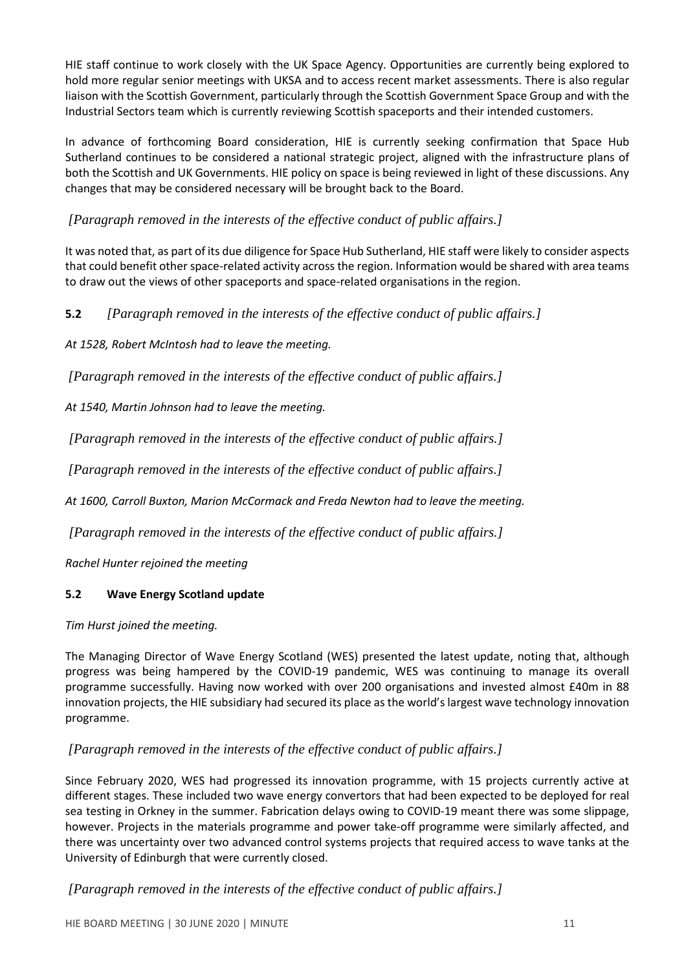HIE staff continue to work closely with the UK Space Agency. Opportunities are currently being explored to hold more regular senior meetings with UKSA and to access recent market assessments. There is also regular liaison with the Scottish Government, particularly through the Scottish Government Space Group and with the Industrial Sectors team which is currently reviewing Scottish spaceports and their intended customers.

In advance of forthcoming Board consideration, HIE is currently seeking confirmation that Space Hub Sutherland continues to be considered a national strategic project, aligned with the infrastructure plans of both the Scottish and UK Governments. HIE policy on space is being reviewed in light of these discussions. Any changes that may be considered necessary will be brought back to the Board.

# *[Paragraph removed in the interests of the effective conduct of public affairs.]*

It was noted that, as part of its due diligence for Space Hub Sutherland, HIE staff were likely to consider aspects that could benefit other space-related activity across the region. Information would be shared with area teams to draw out the views of other spaceports and space-related organisations in the region.

**5.2** *[Paragraph removed in the interests of the effective conduct of public affairs.]*

*At 1528, Robert McIntosh had to leave the meeting.*

*[Paragraph removed in the interests of the effective conduct of public affairs.]*

*At 1540, Martin Johnson had to leave the meeting.*

*[Paragraph removed in the interests of the effective conduct of public affairs.]*

*[Paragraph removed in the interests of the effective conduct of public affairs.]*

*At 1600, Carroll Buxton, Marion McCormack and Freda Newton had to leave the meeting.*

*[Paragraph removed in the interests of the effective conduct of public affairs.]*

*Rachel Hunter rejoined the meeting*

### **5.2 Wave Energy Scotland update**

*Tim Hurst joined the meeting.*

The Managing Director of Wave Energy Scotland (WES) presented the latest update, noting that, although progress was being hampered by the COVID-19 pandemic, WES was continuing to manage its overall programme successfully. Having now worked with over 200 organisations and invested almost £40m in 88 innovation projects, the HIE subsidiary had secured its place as the world's largest wave technology innovation programme.

# *[Paragraph removed in the interests of the effective conduct of public affairs.]*

Since February 2020, WES had progressed its innovation programme, with 15 projects currently active at different stages. These included two wave energy convertors that had been expected to be deployed for real sea testing in Orkney in the summer. Fabrication delays owing to COVID-19 meant there was some slippage, however. Projects in the materials programme and power take-off programme were similarly affected, and there was uncertainty over two advanced control systems projects that required access to wave tanks at the University of Edinburgh that were currently closed.

*[Paragraph removed in the interests of the effective conduct of public affairs.]*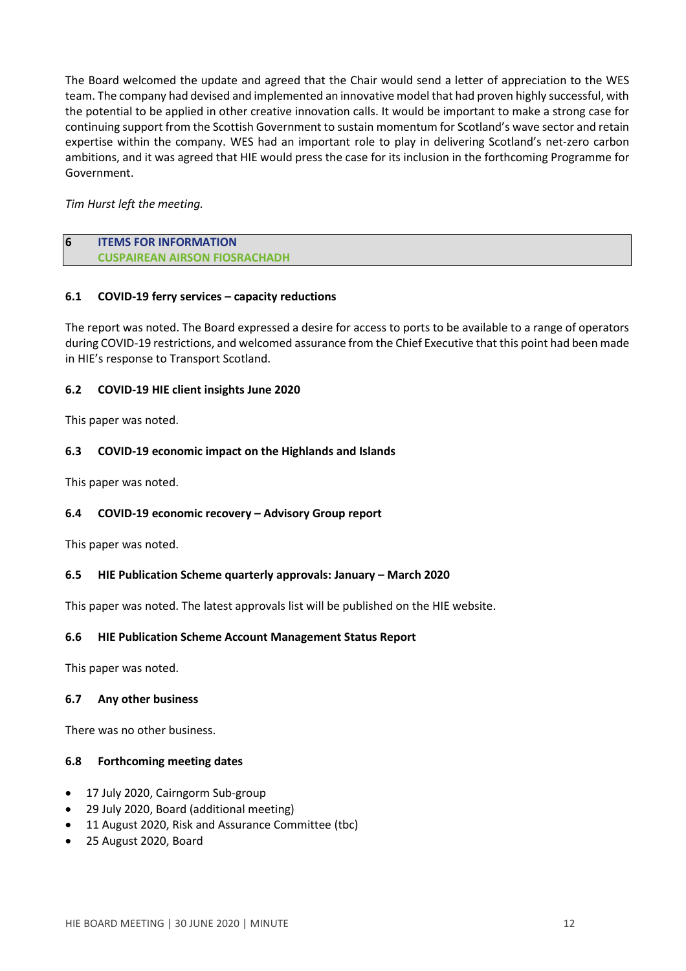The Board welcomed the update and agreed that the Chair would send a letter of appreciation to the WES team. The company had devised and implemented an innovative model that had proven highly successful, with the potential to be applied in other creative innovation calls. It would be important to make a strong case for continuing support from the Scottish Government to sustain momentum for Scotland's wave sector and retain expertise within the company. WES had an important role to play in delivering Scotland's net-zero carbon ambitions, and it was agreed that HIE would press the case for its inclusion in the forthcoming Programme for Government.

### *Tim Hurst left the meeting.*

### **6 ITEMS FOR INFORMATION CUSPAIREAN AIRSON FIOSRACHADH**

### **6.1 COVID-19 ferry services – capacity reductions**

The report was noted. The Board expressed a desire for access to ports to be available to a range of operators during COVID-19 restrictions, and welcomed assurance from the Chief Executive that this point had been made in HIE's response to Transport Scotland.

### **6.2 COVID-19 HIE client insights June 2020**

This paper was noted.

### **6.3 COVID-19 economic impact on the Highlands and Islands**

This paper was noted.

### **6.4 COVID-19 economic recovery – Advisory Group report**

This paper was noted.

### **6.5 HIE Publication Scheme quarterly approvals: January – March 2020**

This paper was noted. The latest approvals list will be published on the HIE website.

### **6.6 HIE Publication Scheme Account Management Status Report**

This paper was noted.

### **6.7 Any other business**

There was no other business.

#### **6.8 Forthcoming meeting dates**

- 17 July 2020, Cairngorm Sub-group
- 29 July 2020, Board (additional meeting)
- 11 August 2020, Risk and Assurance Committee (tbc)
- 25 August 2020, Board